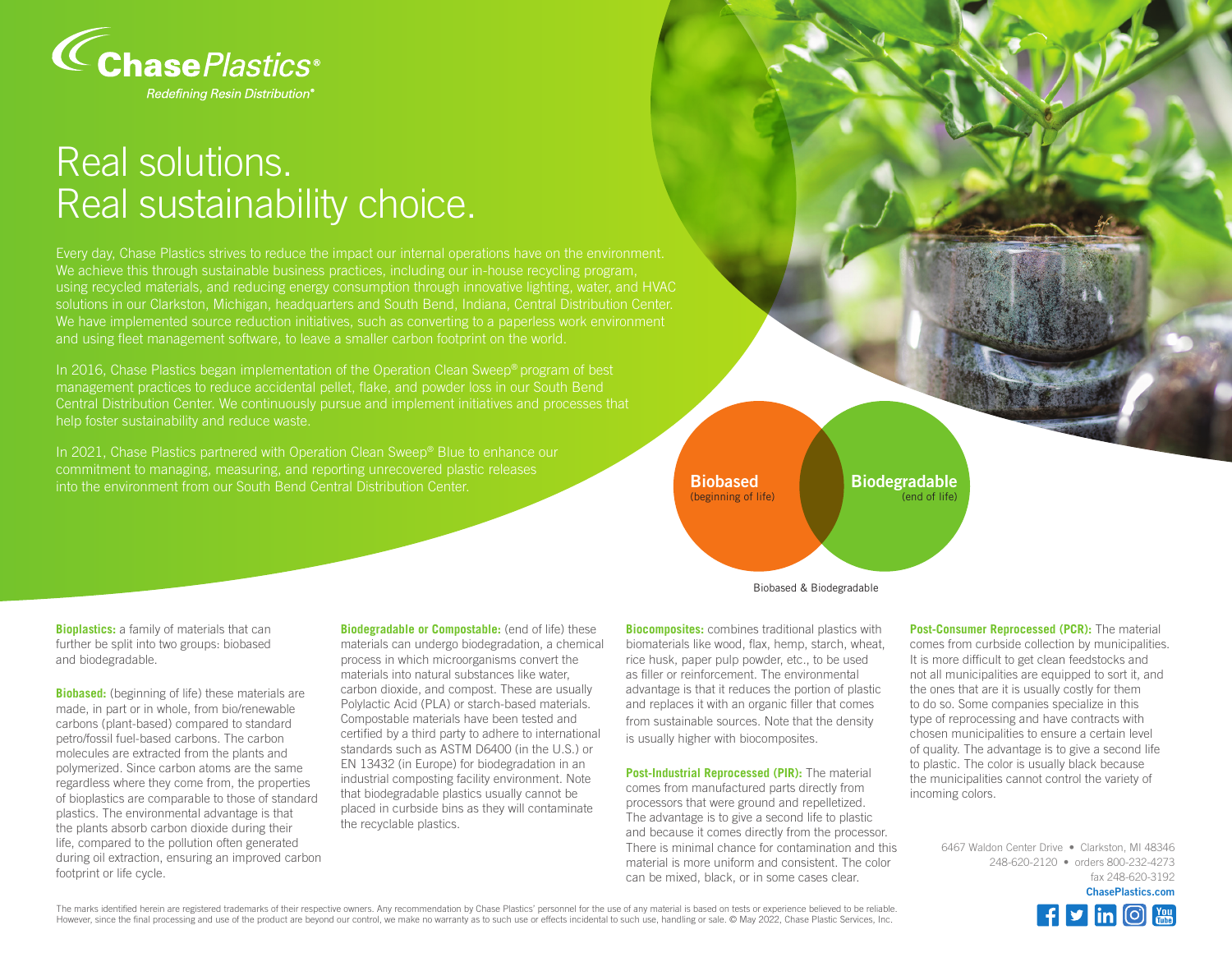

## Real solutions. Real sustainability choice.

We achieve this through sustainable business practices, including our in-house recycling program, using recycled materials, and reducing energy consumption through innovative lighting, water, and HVAC solutions in our Clarkston, Michigan, headquarters and South Bend, Indiana, Central Distribution Center. We have implemented source reduction initiatives, such as converting to a paperless work environment and using fleet management software, to leave a smaller carbon footprint on the world.

In 2016, Chase Plastics began implementation of the Operation Clean Sweep® program of best management practices to reduce accidental pellet, flake, and powder loss in our South Bend Central Distribution Center. We continuously pursue and implement initiatives and processes that help foster sustainability and reduce waste.

In 2021, Chase Plastics partnered with Operation Clean Sweep® Blue to enhance our commitment to managing, measuring, and reporting unrecovered plastic releases into the environment from our South Bend Central Distribution Center.

**Bioplastics:** a family of materials that can further be split into two groups: biobased and biodegradable.

**Biobased:** (beginning of life) these materials are made, in part or in whole, from bio/renewable carbons (plant-based) compared to standard petro/fossil fuel-based carbons. The carbon molecules are extracted from the plants and polymerized. Since carbon atoms are the same regardless where they come from, the properties of bioplastics are comparable to those of standard plastics. The environmental advantage is that the plants absorb carbon dioxide during their life, compared to the pollution often generated during oil extraction, ensuring an improved carbon footprint or life cycle.

**Biodegradable or Compostable:** (end of life) these materials can undergo biodegradation, a chemical process in which microorganisms convert the materials into natural substances like water, carbon dioxide, and compost. These are usually Polylactic Acid (PLA) or starch-based materials. Compostable materials have been tested and certified by a third party to adhere to international standards such as ASTM D6400 (in the U.S.) or EN 13432 (in Europe) for biodegradation in an industrial composting facility environment. Note that biodegradable plastics usually cannot be placed in curbside bins as they will contaminate the recyclable plastics.



**Biodegradable** (end of life)

Biobased & Biodegradable

**Biocomposites:** combines traditional plastics with biomaterials like wood, flax, hemp, starch, wheat, rice husk, paper pulp powder, etc., to be used as filler or reinforcement. The environmental advantage is that it reduces the portion of plastic and replaces it with an organic filler that comes from sustainable sources. Note that the density is usually higher with biocomposites.

**Post-Industrial Reprocessed (PIR):** The material comes from manufactured parts directly from processors that were ground and repelletized. The advantage is to give a second life to plastic and because it comes directly from the processor. There is minimal chance for contamination and this material is more uniform and consistent. The color can be mixed, black, or in some cases clear.

**Post-Consumer Reprocessed (PCR):** The material comes from curbside collection by municipalities. It is more difficult to get clean feedstocks and not all municipalities are equipped to sort it, and the ones that are it is usually costly for them to do so. Some companies specialize in this type of reprocessing and have contracts with chosen municipalities to ensure a certain level of quality. The advantage is to give a second life to plastic. The color is usually black because the municipalities cannot control the variety of incoming colors.

> 6467 Waldon Center Drive • Clarkston, MI 48346 248-620-2120 • orders 800-232-4273 fax 248-620-3192 **ChasePlastics.com**



The marks identified herein are registered trademarks of their respective owners. Any recommendation by Chase Plastics' personnel for the use of any material is based on tests or experience believed to be reliable. However, since the final processing and use of the product are beyond our control, we make no warranty as to such use or effects incidental to such use, handling or sale. © May 2022, Chase Plastic Services, Inc.